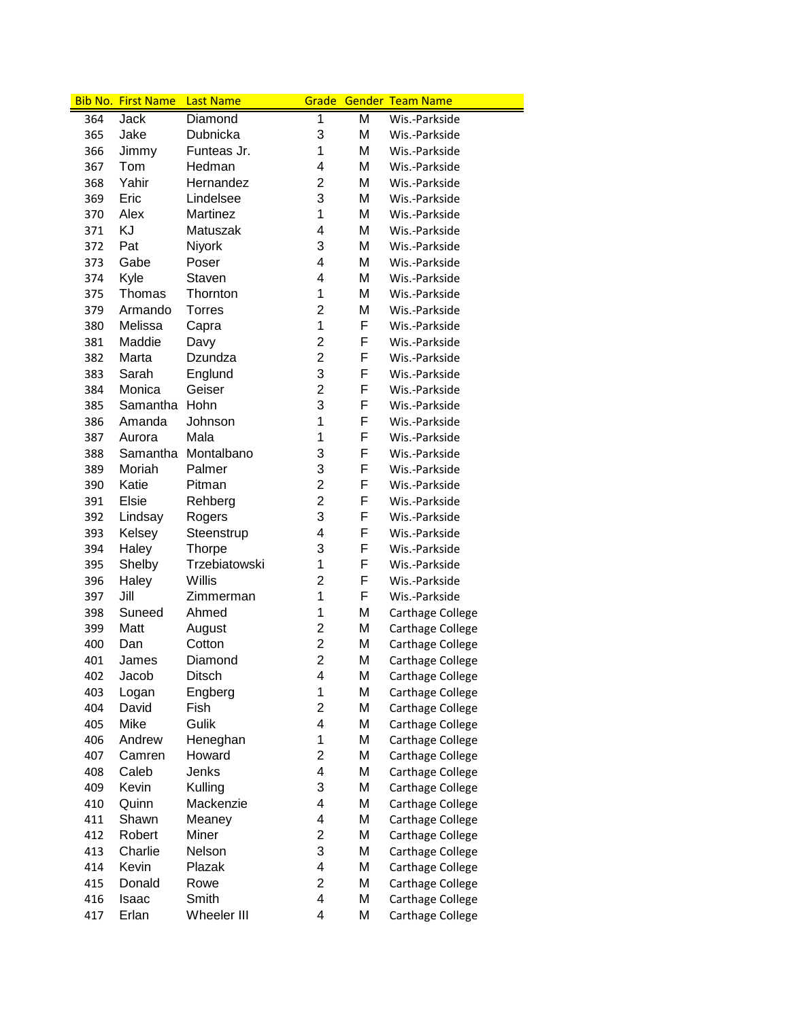|     | <b>Bib No. First Name</b> | <b>Last Name</b> |                         |   | <b>Grade Gender Team Name</b> |
|-----|---------------------------|------------------|-------------------------|---|-------------------------------|
| 364 | Jack                      | Diamond          | 1                       | Μ | Wis.-Parkside                 |
| 365 | Jake                      | Dubnicka         | 3                       | Μ | Wis.-Parkside                 |
| 366 | Jimmy                     | Funteas Jr.      | 1                       | М | Wis.-Parkside                 |
| 367 | Tom                       | Hedman           | 4                       | Μ | Wis.-Parkside                 |
| 368 | Yahir                     | Hernandez        | $\overline{2}$          | M | Wis.-Parkside                 |
| 369 | Eric                      | Lindelsee        | 3                       | Μ | Wis.-Parkside                 |
| 370 | Alex                      | Martinez         | 1                       | M | Wis.-Parkside                 |
| 371 | KJ                        | Matuszak         | 4                       | Μ | Wis.-Parkside                 |
| 372 | Pat                       | Niyork           | 3                       | Μ | Wis.-Parkside                 |
| 373 | Gabe                      | Poser            | 4                       | Μ | Wis.-Parkside                 |
| 374 | Kyle                      | Staven           | $\overline{4}$          | М | Wis.-Parkside                 |
| 375 | Thomas                    | Thornton         | 1                       | М | Wis.-Parkside                 |
| 379 | Armando                   | Torres           | $\overline{2}$          | Μ | Wis.-Parkside                 |
| 380 | Melissa                   | Capra            | 1                       | F | Wis.-Parkside                 |
| 381 | Maddie                    | Davy             | $\overline{2}$          | F | Wis.-Parkside                 |
| 382 | Marta                     | Dzundza          | $\overline{c}$          | F | Wis.-Parkside                 |
| 383 | Sarah                     | Englund          | 3                       | F | Wis.-Parkside                 |
| 384 | Monica                    | Geiser           | $\overline{2}$          | F | Wis.-Parkside                 |
| 385 | Samantha                  | Hohn             | 3                       | F | Wis.-Parkside                 |
| 386 | Amanda                    | Johnson          | 1                       | F | Wis.-Parkside                 |
| 387 | Aurora                    | Mala             | 1                       | F | Wis.-Parkside                 |
| 388 | Samantha                  | Montalbano       | 3                       | F | Wis.-Parkside                 |
| 389 | Moriah                    | Palmer           | 3                       | F | Wis.-Parkside                 |
| 390 | Katie                     | Pitman           | $\overline{2}$          | F | Wis.-Parkside                 |
| 391 | Elsie                     | Rehberg          | $\overline{2}$          | F | Wis.-Parkside                 |
| 392 | Lindsay                   | Rogers           | 3                       | F | Wis.-Parkside                 |
| 393 | Kelsey                    | Steenstrup       | 4                       | F | Wis.-Parkside                 |
| 394 | Haley                     | <b>Thorpe</b>    | 3                       | F | Wis.-Parkside                 |
| 395 | Shelby                    | Trzebiatowski    | 1                       | F | Wis.-Parkside                 |
| 396 | Haley                     | Willis           | $\overline{2}$          | F | Wis.-Parkside                 |
| 397 | Jill                      | Zimmerman        | 1                       | F | Wis.-Parkside                 |
| 398 | Suneed                    | Ahmed            | 1                       | M | Carthage College              |
| 399 | Matt                      | August           | 2                       | M | Carthage College              |
| 400 | Dan                       | Cotton           | $\overline{2}$          | M | Carthage College              |
| 401 | James                     | Diamond          | $\overline{2}$          | M | Carthage College              |
| 402 | Jacob                     | Ditsch           | 4                       | Μ | Carthage College              |
| 403 | Logan                     | Engberg          | 1                       | Μ | Carthage College              |
| 404 | David                     | Fish             | $\overline{c}$          | M | Carthage College              |
| 405 | Mike                      | Gulik            | $\overline{\mathbf{4}}$ | M | Carthage College              |
| 406 | Andrew                    | Heneghan         | 1                       | M | Carthage College              |
| 407 | Camren                    | Howard           | 2                       | M | Carthage College              |
| 408 | Caleb                     | Jenks            | $\overline{\mathbf{4}}$ | Μ | Carthage College              |
| 409 | Kevin                     | Kulling          | 3                       | Μ | Carthage College              |
| 410 | Quinn                     | Mackenzie        | $\overline{\mathbf{4}}$ | Μ | Carthage College              |
| 411 | Shawn                     | Meaney           | $\overline{\mathbf{4}}$ | Μ | Carthage College              |
| 412 | Robert                    | Miner            | $\overline{c}$          | Μ | Carthage College              |
| 413 | Charlie                   | Nelson           | 3                       | Μ | Carthage College              |
| 414 | Kevin                     | Plazak           | 4                       | Μ | Carthage College              |
| 415 | Donald                    | Rowe             | $\overline{c}$          | Μ | Carthage College              |
| 416 | Isaac                     | Smith            | $\overline{\mathbf{4}}$ | Μ | Carthage College              |
| 417 | Erlan                     | Wheeler III      | $\overline{\mathbf{4}}$ | Μ | Carthage College              |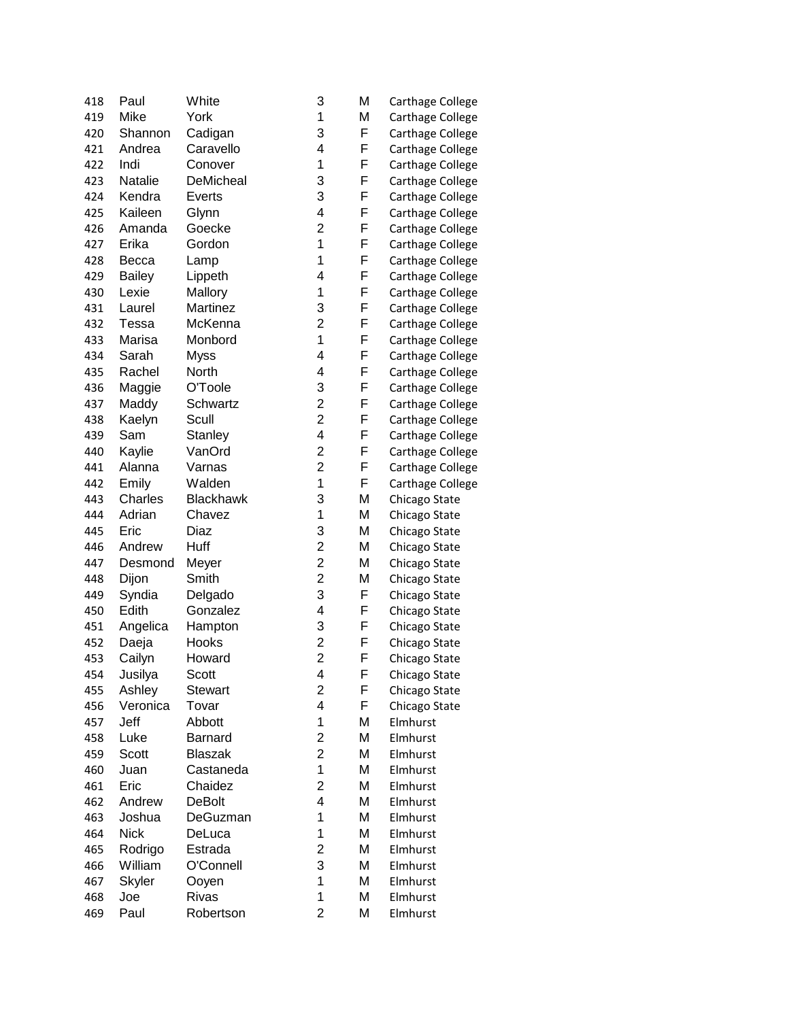| 418 | Paul          | White            | 3                       | Μ | <b>Carthage College</b> |
|-----|---------------|------------------|-------------------------|---|-------------------------|
| 419 | Mike          | York             | 1                       | Μ | Carthage College        |
| 420 | Shannon       | Cadigan          | 3                       | F | Carthage College        |
| 421 | Andrea        | Caravello        | 4                       | F | <b>Carthage College</b> |
| 422 | Indi          | Conover          | 1                       | F | Carthage College        |
| 423 | Natalie       | DeMicheal        | 3                       | F | <b>Carthage College</b> |
| 424 | Kendra        | Everts           | 3                       | F | <b>Carthage College</b> |
| 425 | Kaileen       | Glynn            | 4                       | F | <b>Carthage College</b> |
| 426 | Amanda        | Goecke           | $\overline{2}$          | F | <b>Carthage College</b> |
| 427 | Erika         | Gordon           | 1                       | F | <b>Carthage College</b> |
| 428 | Becca         | Lamp             | 1                       | F | <b>Carthage College</b> |
| 429 | <b>Bailey</b> | Lippeth          | 4                       | F | Carthage College        |
| 430 | Lexie         | Mallory          | 1                       | F | <b>Carthage College</b> |
| 431 | Laurel        | Martinez         | 3                       | F | <b>Carthage College</b> |
| 432 | <b>Tessa</b>  | McKenna          | $\overline{c}$          | F | <b>Carthage College</b> |
| 433 | Marisa        | Monbord          | $\mathbf 1$             | F | <b>Carthage College</b> |
| 434 | Sarah         | <b>Myss</b>      | 4                       | F | <b>Carthage College</b> |
| 435 | Rachel        | North            | 4                       | F | <b>Carthage College</b> |
| 436 | Maggie        | O'Toole          | 3                       | F | <b>Carthage College</b> |
| 437 | Maddy         | Schwartz         | $\overline{c}$          | F | <b>Carthage College</b> |
| 438 | Kaelyn        | Scull            | $\overline{2}$          | F | <b>Carthage College</b> |
| 439 | Sam           | Stanley          | 4                       | F | <b>Carthage College</b> |
| 440 | Kaylie        | VanOrd           | $\overline{\mathbf{c}}$ | F | <b>Carthage College</b> |
| 441 | Alanna        | Varnas           | $\overline{c}$          | F | Carthage College        |
| 442 | Emily         | Walden           | 1                       | F | <b>Carthage College</b> |
| 443 | Charles       | <b>Blackhawk</b> | 3                       | M | Chicago State           |
| 444 | Adrian        | Chavez           | 1                       | Μ | Chicago State           |
| 445 | Eric          | Diaz             | 3                       | Μ | Chicago State           |
| 446 | Andrew        | Huff             | $\overline{2}$          | Μ | Chicago State           |
| 447 | Desmond       | Meyer            | $\overline{c}$          | Μ | Chicago State           |
| 448 | Dijon         | Smith            | $\overline{2}$          | Μ | Chicago State           |
| 449 | Syndia        | Delgado          | 3                       | F | Chicago State           |
| 450 | Edith         | Gonzalez         | $\overline{\mathbf{4}}$ | F | Chicago State           |
| 451 | Angelica      | Hampton          | 3                       | F | Chicago State           |
| 452 | Daeja         | Hooks            | $\overline{2}$          | F | Chicago State           |
| 453 | Cailyn        | Howard           | $\overline{2}$          | F | Chicago State           |
| 454 | Jusilya       | Scott            | 4                       | F | Chicago State           |
| 455 | Ashley        | <b>Stewart</b>   | $\overline{2}$          | F | Chicago State           |
| 456 | Veronica      | Tovar            | 4                       | F | Chicago State           |
| 457 | Jeff          | Abbott           | 1                       | Μ | Elmhurst                |
| 458 | Luke          | Barnard          | 2                       | Μ | Elmhurst                |
| 459 | Scott         | <b>Blaszak</b>   | $\overline{2}$          | Μ | Elmhurst                |
| 460 | Juan          | Castaneda        | 1                       | Μ | Elmhurst                |
| 461 | Eric          | Chaidez          | $\overline{c}$          | Μ | Elmhurst                |
| 462 | Andrew        | <b>DeBolt</b>    | 4                       | Μ | Elmhurst                |
| 463 | Joshua        | DeGuzman         | 1                       | Μ | Elmhurst                |
| 464 | <b>Nick</b>   | DeLuca           | 1                       | Μ | Elmhurst                |
| 465 | Rodrigo       | Estrada          | $\overline{c}$          | Μ | Elmhurst                |
| 466 | William       | O'Connell        | 3                       | Μ | Elmhurst                |
| 467 | Skyler        | Ooyen            | 1                       | Μ | Elmhurst                |
| 468 | Joe           | <b>Rivas</b>     | 1                       | Μ | Elmhurst                |
| 469 | Paul          | Robertson        | $\overline{2}$          | Μ | Elmhurst                |
|     |               |                  |                         |   |                         |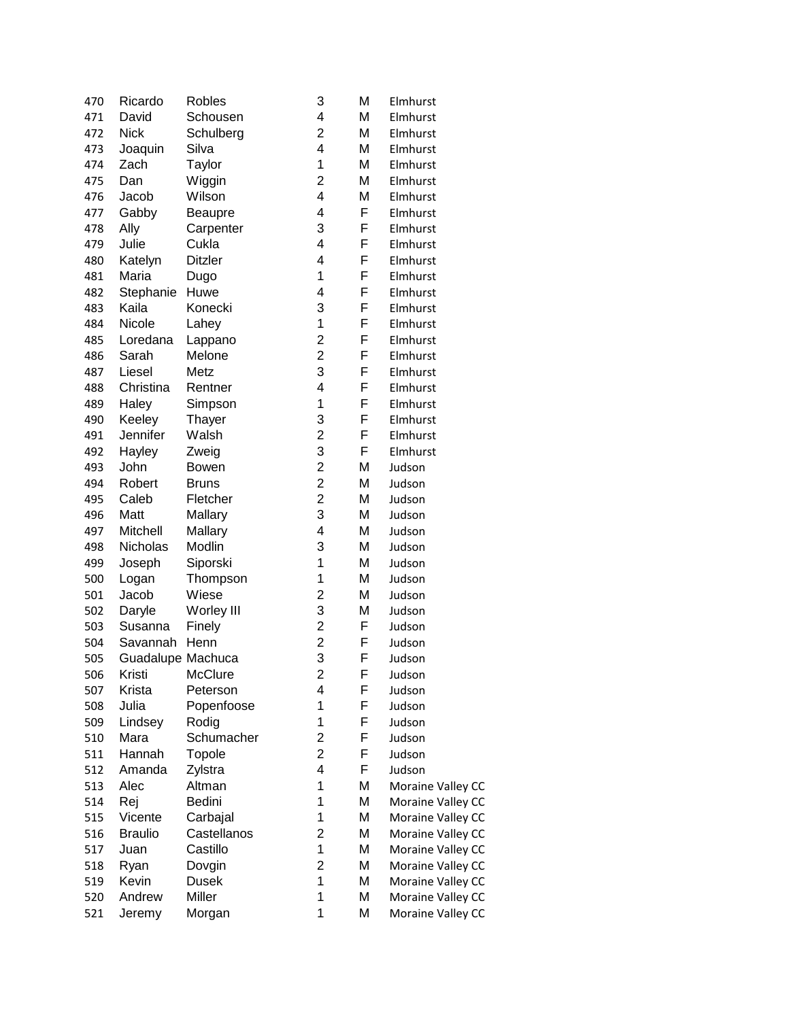| 470        | Ricardo           | <b>Robles</b>          | 3                       | M | Elmhurst                               |
|------------|-------------------|------------------------|-------------------------|---|----------------------------------------|
| 471        | David             | Schousen               | 4                       | M | Elmhurst                               |
| 472        | <b>Nick</b>       | Schulberg              | $\overline{2}$          | M | Elmhurst                               |
| 473        | Joaquin           | Silva                  | 4                       | M | Elmhurst                               |
| 474        | Zach              | Taylor                 | $\mathbf 1$             | M | Elmhurst                               |
| 475        | Dan               | Wiggin                 | $\overline{c}$          | Μ | Elmhurst                               |
| 476        | Jacob             | Wilson                 | 4                       | Μ | Elmhurst                               |
| 477        | Gabby             | Beaupre                | 4                       | F | Elmhurst                               |
| 478        | Ally              | Carpenter              | 3                       | F | Elmhurst                               |
| 479        | Julie             | Cukla                  | 4                       | F | Elmhurst                               |
| 480        | Katelyn           | <b>Ditzler</b>         | 4                       | F | Elmhurst                               |
| 481        | Maria             | Dugo                   | $\mathbf 1$             | F | Elmhurst                               |
| 482        | Stephanie         | Huwe                   | 4                       | F | Elmhurst                               |
| 483        | Kaila             | Konecki                | 3                       | F | Elmhurst                               |
| 484        | Nicole            | Lahey                  | 1                       | F | Elmhurst                               |
| 485        | Loredana          | Lappano                | $\overline{c}$          | F | Elmhurst                               |
| 486        | Sarah             | Melone                 | $\overline{2}$          | F | Elmhurst                               |
| 487        | Liesel            | Metz                   | 3                       | F | Elmhurst                               |
| 488        | Christina         | Rentner                | 4                       | F | Elmhurst                               |
| 489        | Haley             | Simpson                | $\mathbf 1$             | F | Elmhurst                               |
| 490        | Keeley            | Thayer                 | 3                       | F | Elmhurst                               |
| 491        | Jennifer          | Walsh                  | $\overline{c}$          | F | Elmhurst                               |
| 492        | Hayley            | Zweig                  | 3                       | F | Elmhurst                               |
| 493        | John              | Bowen                  | $\overline{c}$          | M | Judson                                 |
| 494        | Robert            | <b>Bruns</b>           | $\overline{c}$          | M | Judson                                 |
| 495        | Caleb             | Fletcher               | $\overline{c}$          | M | Judson                                 |
| 496        | Matt              | Mallary                | 3                       | M | Judson                                 |
| 497        | Mitchell          | Mallary                | 4                       | Μ | Judson                                 |
| 498        | Nicholas          | Modlin                 | 3                       | M | Judson                                 |
| 499        | Joseph            | Siporski               | 1                       | M | Judson                                 |
| 500        | Logan             | Thompson               | 1                       | Μ | Judson                                 |
| 501        | Jacob             | Wiese                  | $\overline{c}$          | M | Judson                                 |
| 502        | Daryle            | Worley III             | 3                       | M | Judson                                 |
| 503        | Susanna           | Finely                 | $\overline{c}$          | F | Judson                                 |
| 504        | Savannah          | Henn                   | $\overline{c}$          | F | Judson                                 |
| 505        | Guadalupe Machuca |                        | 3                       | F | Judson                                 |
| 506        | Kristi            | McClure                | $\overline{\mathbf{c}}$ | F | Judson                                 |
| 507        | Krista            | Peterson               | 4                       | F | Judson                                 |
| 508        | Julia             | Popenfoose             | 1                       | F | Judson                                 |
| 509        | Lindsey           | Rodig                  | 1                       | F | Judson                                 |
| 510        | Mara              | Schumacher             | $\overline{c}$          | F | Judson                                 |
| 511        | Hannah            | Topole                 | $\overline{c}$          | F | Judson                                 |
| 512        | Amanda            | Zylstra                | 4                       | F | Judson                                 |
| 513        | Alec              | Altman                 | 1                       | M | Moraine Valley CC                      |
| 514        | Rej               | Bedini                 | 1                       | M | Moraine Valley CC                      |
| 515        | Vicente           | Carbajal               | 1                       | M | Moraine Valley CC                      |
| 516        | <b>Braulio</b>    | Castellanos            | $\overline{\mathbf{c}}$ | M | Moraine Valley CC                      |
| 517        | Juan              | Castillo               | 1                       | Μ |                                        |
|            | Ryan              |                        | $\overline{c}$          | Μ | Moraine Valley CC                      |
| 518<br>519 | Kevin             | Dovgin<br><b>Dusek</b> | $\mathbf 1$             | Μ | Moraine Valley CC                      |
| 520        | Andrew            | Miller                 | 1                       | M | Moraine Valley CC<br>Moraine Valley CC |
| 521        | Jeremy            |                        | 1                       | M | Moraine Valley CC                      |
|            |                   | Morgan                 |                         |   |                                        |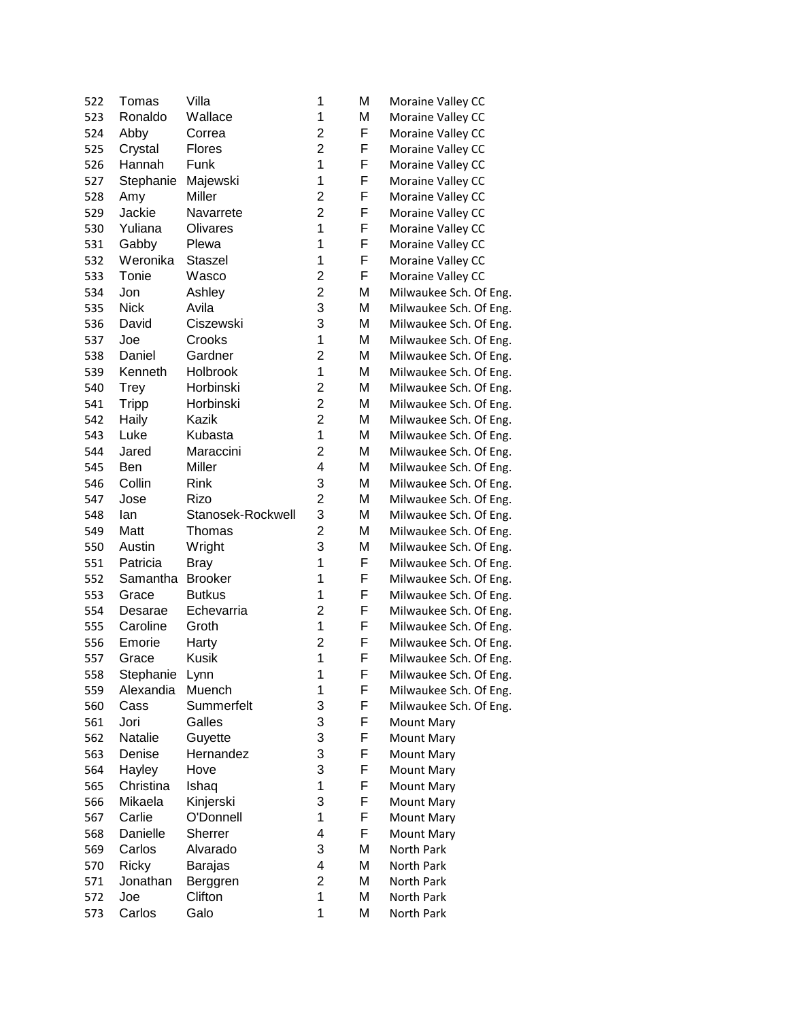| 522 | Tomas        | Villa             | 1                       | Μ | Moraine Valley CC      |
|-----|--------------|-------------------|-------------------------|---|------------------------|
| 523 | Ronaldo      | Wallace           | 1                       | Μ | Moraine Valley CC      |
| 524 | Abby         | Correa            | $\overline{2}$          | F | Moraine Valley CC      |
| 525 | Crystal      | <b>Flores</b>     | $\overline{2}$          | F | Moraine Valley CC      |
| 526 | Hannah       | Funk              | $\mathbf{1}$            | F | Moraine Valley CC      |
| 527 | Stephanie    | Majewski          | 1                       | F | Moraine Valley CC      |
| 528 | Amy          | Miller            | $\overline{2}$          | F | Moraine Valley CC      |
| 529 | Jackie       | Navarrete         | $\overline{2}$          | F | Moraine Valley CC      |
| 530 | Yuliana      | Olivares          | 1                       | F | Moraine Valley CC      |
| 531 | Gabby        | Plewa             | 1                       | F | Moraine Valley CC      |
| 532 | Weronika     | Staszel           | $\mathbf{1}$            | F | Moraine Valley CC      |
| 533 | Tonie        | Wasco             | $\overline{c}$          | F | Moraine Valley CC      |
| 534 | Jon          | Ashley            | $\overline{2}$          | Μ | Milwaukee Sch. Of Eng. |
| 535 | <b>Nick</b>  | Avila             | 3                       | Μ | Milwaukee Sch. Of Eng. |
| 536 | David        | Ciszewski         | 3                       | Μ | Milwaukee Sch. Of Eng. |
| 537 | Joe          | Crooks            | $\mathbf 1$             | Μ | Milwaukee Sch. Of Eng. |
| 538 | Daniel       | Gardner           | $\overline{2}$          | Μ | Milwaukee Sch. Of Eng. |
| 539 | Kenneth      | Holbrook          | $\mathbf 1$             | Μ | Milwaukee Sch. Of Eng. |
| 540 | <b>Trey</b>  | Horbinski         | $\overline{2}$          | M | Milwaukee Sch. Of Eng. |
| 541 | <b>Tripp</b> | Horbinski         | $\overline{2}$          | M | Milwaukee Sch. Of Eng. |
| 542 | Haily        | Kazik             | $\overline{2}$          | Μ | Milwaukee Sch. Of Eng. |
| 543 | Luke         | Kubasta           | $\mathbf 1$             | Μ | Milwaukee Sch. Of Eng. |
| 544 | Jared        | Maraccini         | $\overline{2}$          | M | Milwaukee Sch. Of Eng. |
| 545 | Ben          | Miller            | 4                       | Μ | Milwaukee Sch. Of Eng. |
| 546 | Collin       | Rink              | 3                       | Μ | Milwaukee Sch. Of Eng. |
| 547 | Jose         | Rizo              | $\overline{c}$          | Μ | Milwaukee Sch. Of Eng. |
| 548 | lan          | Stanosek-Rockwell | 3                       | M | Milwaukee Sch. Of Eng. |
| 549 | Matt         | Thomas            | $\overline{2}$          | M | Milwaukee Sch. Of Eng. |
| 550 | Austin       | Wright            | 3                       | Μ | Milwaukee Sch. Of Eng. |
| 551 | Patricia     | <b>Bray</b>       | 1                       | F | Milwaukee Sch. Of Eng. |
| 552 | Samantha     | <b>Brooker</b>    | 1                       | F | Milwaukee Sch. Of Eng. |
| 553 | Grace        | <b>Butkus</b>     | $\mathbf 1$             | F | Milwaukee Sch. Of Eng. |
| 554 | Desarae      | Echevarria        | $\overline{c}$          | F | Milwaukee Sch. Of Eng. |
| 555 | Caroline     | Groth             | $\mathbf 1$             | F | Milwaukee Sch. Of Eng. |
| 556 | Emorie       | Harty             | $\overline{\mathbf{c}}$ | F | Milwaukee Sch. Of Eng. |
| 557 | Grace        | <b>Kusik</b>      | $\overline{1}$          | F | Milwaukee Sch. Of Eng. |
| 558 | Stephanie    | Lynn              | 1                       | F | Milwaukee Sch. Of Eng. |
| 559 | Alexandia    | Muench            | 1                       | F | Milwaukee Sch. Of Eng. |
| 560 | Cass         | Summerfelt        | 3                       | F | Milwaukee Sch. Of Eng. |
| 561 | Jori         | Galles            | 3                       | F | Mount Mary             |
| 562 | Natalie      | Guyette           | 3                       | F | <b>Mount Mary</b>      |
| 563 | Denise       | Hernandez         | 3                       | F | <b>Mount Mary</b>      |
| 564 | Hayley       | Hove              | 3                       | F | <b>Mount Mary</b>      |
| 565 | Christina    | Ishaq             | 1                       | F | Mount Mary             |
| 566 | Mikaela      | Kinjerski         | 3                       | F | Mount Mary             |
| 567 | Carlie       | O'Donnell         | 1                       | F | Mount Mary             |
| 568 | Danielle     | Sherrer           | 4                       | F | Mount Mary             |
| 569 | Carlos       | Alvarado          | 3                       | Μ | North Park             |
| 570 | Ricky        | Barajas           | 4                       | Μ | North Park             |
| 571 | Jonathan     | Berggren          | $\overline{2}$          | Μ | North Park             |
| 572 | Joe          | Clifton           | 1                       | Μ | North Park             |
| 573 | Carlos       | Galo              | 1                       | M | North Park             |
|     |              |                   |                         |   |                        |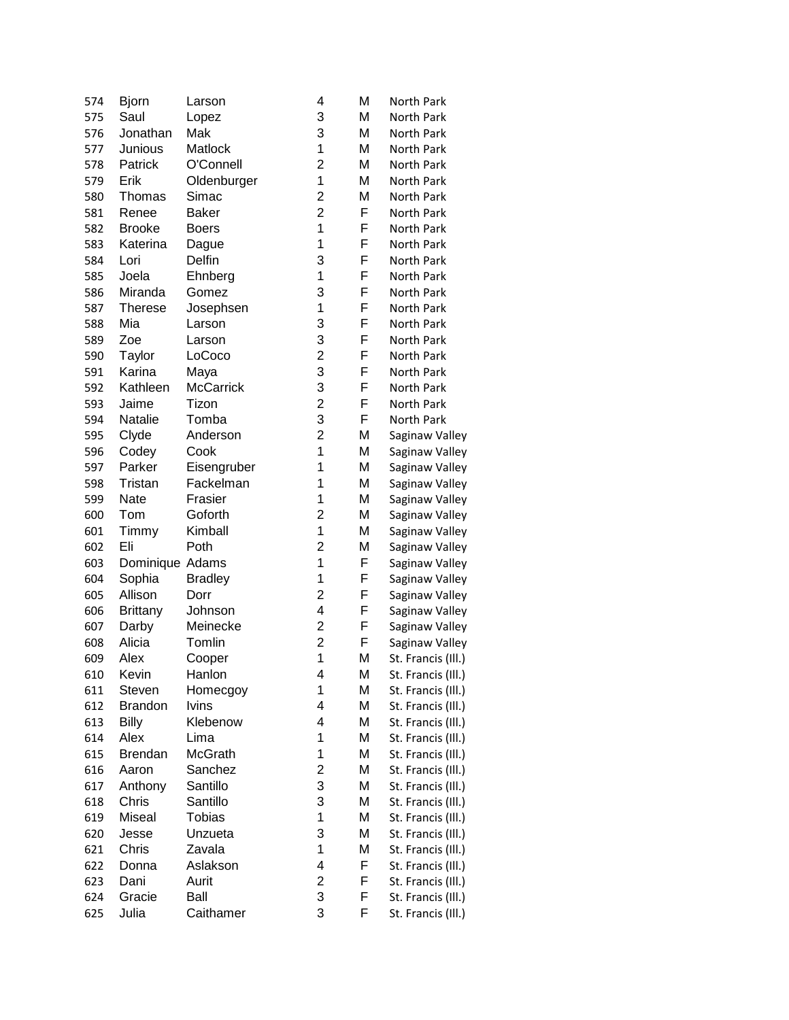| 574 | <b>Bjorn</b>    | Larson           | 4                       | M | North Park         |
|-----|-----------------|------------------|-------------------------|---|--------------------|
| 575 | Saul            | Lopez            | 3                       | Μ | North Park         |
| 576 | Jonathan        | Mak              | 3                       | Μ | North Park         |
| 577 | Junious         | Matlock          | 1                       | M | North Park         |
| 578 | Patrick         | O'Connell        | $\overline{\mathbf{c}}$ | M | North Park         |
| 579 | Erik            | Oldenburger      | $\mathbf 1$             | M | North Park         |
| 580 | Thomas          | Simac            | $\overline{c}$          | M | North Park         |
| 581 | Renee           | <b>Baker</b>     | $\overline{2}$          | F | North Park         |
| 582 | <b>Brooke</b>   | <b>Boers</b>     | 1                       | F | North Park         |
| 583 | Katerina        | Dague            | 1                       | F | North Park         |
| 584 | Lori            | Delfin           | 3                       | F | North Park         |
| 585 | Joela           | Ehnberg          | 1                       | F | North Park         |
| 586 | Miranda         | Gomez            | 3                       | F | North Park         |
| 587 | <b>Therese</b>  | Josephsen        | 1                       | F | North Park         |
| 588 | Mia             | Larson           | 3                       | F | North Park         |
| 589 | Zoe             | Larson           | 3                       | F | North Park         |
| 590 | Taylor          | LoCoco           | $\overline{c}$          | F | North Park         |
| 591 | Karina          | Maya             | 3                       | F | North Park         |
| 592 | Kathleen        | <b>McCarrick</b> | 3                       | F | North Park         |
| 593 | Jaime           | Tizon            | $\overline{c}$          | F | North Park         |
| 594 | Natalie         | Tomba            | 3                       | F | North Park         |
| 595 | Clyde           | Anderson         | $\overline{c}$          | M | Saginaw Valley     |
| 596 | Codey           | Cook             | $\mathbf 1$             | M | Saginaw Valley     |
| 597 | Parker          | Eisengruber      | 1                       | M | Saginaw Valley     |
| 598 | Tristan         | Fackelman        | 1                       | Μ | Saginaw Valley     |
| 599 | Nate            | Frasier          | 1                       | M | Saginaw Valley     |
| 600 | Tom             | Goforth          | $\overline{c}$          | Μ | Saginaw Valley     |
| 601 |                 | Kimball          | 1                       | Μ | Saginaw Valley     |
|     | Timmy<br>Eli    | Poth             | 2                       | Μ |                    |
| 602 |                 |                  | 1                       | F | Saginaw Valley     |
| 603 | Dominique Adams |                  | 1                       | F | Saginaw Valley     |
| 604 | Sophia          | <b>Bradley</b>   | $\overline{2}$          | F | Saginaw Valley     |
| 605 | Allison         | Dorr             |                         |   | Saginaw Valley     |
| 606 | <b>Brittany</b> | Johnson          | 4                       | F | Saginaw Valley     |
| 607 | Darby           | Meinecke         | $\overline{\mathbf{c}}$ | F | Saginaw Valley     |
| 608 | Alicia          | Tomlin           | $\overline{2}$          | F | Saginaw Valley     |
| 609 | Alex            | Cooper           | $\mathbf{1}$            | M | St. Francis (III.) |
| 610 | Kevin           | Hanlon           | 4                       | M | St. Francis (III.) |
| 611 | Steven          | Homecgoy         | 1                       | Μ | St. Francis (Ill.) |
| 612 | <b>Brandon</b>  | Ivins            | 4                       | Μ | St. Francis (Ill.) |
| 613 | <b>Billy</b>    | Klebenow         | 4                       | Μ | St. Francis (Ill.) |
| 614 | Alex            | Lima             | 1                       | M | St. Francis (Ill.) |
| 615 | <b>Brendan</b>  | McGrath          | 1                       | Μ | St. Francis (III.) |
| 616 | Aaron           | Sanchez          | 2                       | Μ | St. Francis (Ill.) |
| 617 | Anthony         | Santillo         | 3                       | Μ | St. Francis (Ill.) |
| 618 | Chris           | Santillo         | 3                       | Μ | St. Francis (Ill.) |
| 619 | Miseal          | <b>Tobias</b>    | 1                       | Μ | St. Francis (Ill.) |
| 620 | Jesse           | Unzueta          | 3                       | М | St. Francis (Ill.) |
| 621 | Chris           | Zavala           | 1                       | M | St. Francis (Ill.) |
| 622 | Donna           | Aslakson         | 4                       | F | St. Francis (Ill.) |
| 623 | Dani            | Aurit            | $\overline{\mathbf{c}}$ | F | St. Francis (Ill.) |
| 624 | Gracie          | Ball             | 3                       | F | St. Francis (Ill.) |
| 625 | Julia           | Caithamer        | 3                       | F | St. Francis (Ill.) |
|     |                 |                  |                         |   |                    |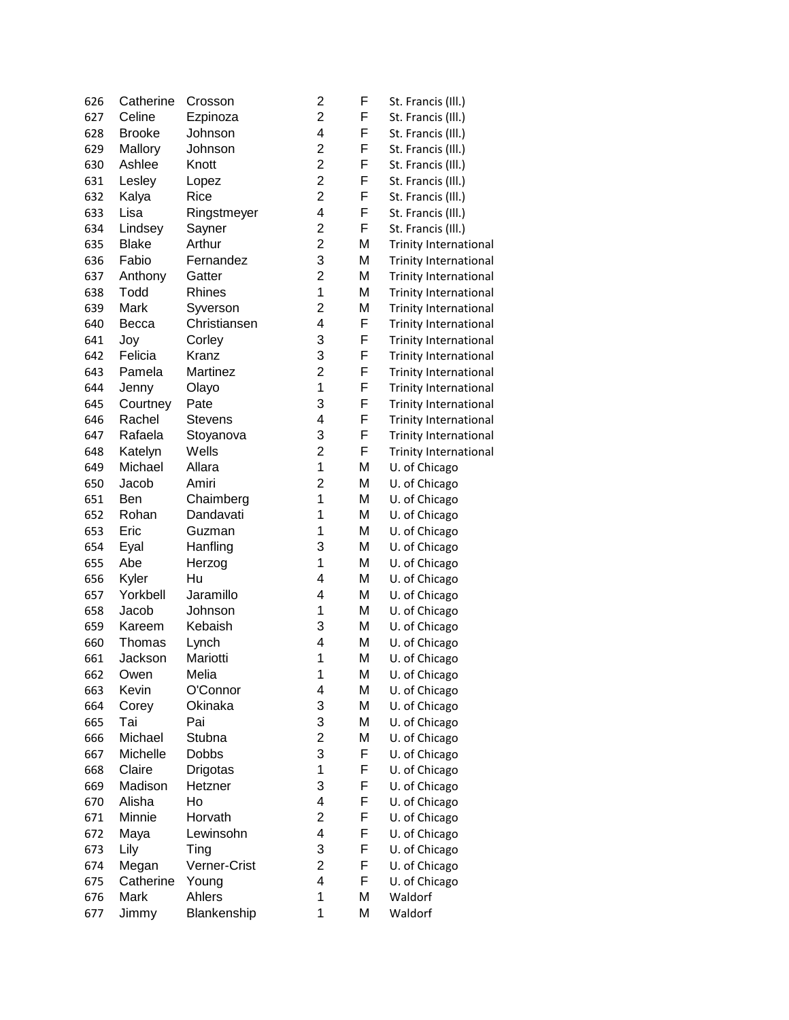| 626 | Catherine     | Crosson        | 2                       | F | St. Francis (Ill.)           |
|-----|---------------|----------------|-------------------------|---|------------------------------|
| 627 | Celine        | Ezpinoza       | $\overline{c}$          | F | St. Francis (Ill.)           |
| 628 | <b>Brooke</b> | Johnson        | $\overline{\mathbf{4}}$ | F | St. Francis (Ill.)           |
| 629 | Mallory       | Johnson        | $\overline{c}$          | F | St. Francis (Ill.)           |
| 630 | Ashlee        | Knott          | $\overline{c}$          | F | St. Francis (Ill.)           |
| 631 | Lesley        | Lopez          | $\overline{c}$          | F | St. Francis (Ill.)           |
| 632 | Kalya         | Rice           | $\overline{c}$          | F | St. Francis (Ill.)           |
| 633 | Lisa          | Ringstmeyer    | 4                       | F | St. Francis (Ill.)           |
| 634 | Lindsey       | Sayner         | $\overline{2}$          | F | St. Francis (III.)           |
| 635 | <b>Blake</b>  | Arthur         | $\overline{2}$          | Μ | <b>Trinity International</b> |
| 636 | Fabio         | Fernandez      | 3                       | Μ | <b>Trinity International</b> |
| 637 | Anthony       | Gatter         | $\overline{c}$          | Μ | <b>Trinity International</b> |
| 638 | Todd          | Rhines         | 1                       | Μ | <b>Trinity International</b> |
| 639 | Mark          | Syverson       | $\overline{c}$          | Μ | <b>Trinity International</b> |
| 640 | Becca         | Christiansen   | 4                       | F | <b>Trinity International</b> |
| 641 | Joy           | Corley         | 3                       | F | <b>Trinity International</b> |
| 642 | Felicia       | Kranz          | 3                       | F | <b>Trinity International</b> |
| 643 | Pamela        | Martinez       | $\overline{2}$          | F | <b>Trinity International</b> |
| 644 | Jenny         | Olayo          | 1                       | F | <b>Trinity International</b> |
| 645 | Courtney      | Pate           | 3                       | F | <b>Trinity International</b> |
| 646 | Rachel        | <b>Stevens</b> | 4                       | F | <b>Trinity International</b> |
| 647 | Rafaela       | Stoyanova      | 3                       | F | <b>Trinity International</b> |
| 648 | Katelyn       | Wells          | $\overline{c}$          | F | <b>Trinity International</b> |
| 649 | Michael       | Allara         | $\mathbf{1}$            | M | U. of Chicago                |
| 650 | Jacob         | Amiri          | $\overline{2}$          | M | U. of Chicago                |
| 651 | Ben           | Chaimberg      | 1                       | Μ | U. of Chicago                |
|     | Rohan         | Dandavati      | 1                       | Μ |                              |
| 652 |               |                | 1                       |   | U. of Chicago                |
| 653 | Eric          | Guzman         |                         | Μ | U. of Chicago                |
| 654 | Eyal          | Hanfling       | 3                       | M | U. of Chicago                |
| 655 | Abe           | Herzog         | 1                       | Μ | U. of Chicago                |
| 656 | Kyler         | Hu             | 4                       | M | U. of Chicago                |
| 657 | Yorkbell      | Jaramillo      | 4                       | Μ | U. of Chicago                |
| 658 | Jacob         | Johnson        | 1                       | Μ | U. of Chicago                |
| 659 | Kareem        | Kebaish        | 3                       | Μ | U. of Chicago                |
| 660 | Thomas        | Lynch          | 4                       | Μ | U. of Chicago                |
| 661 | Jackson       | Mariotti       | 1                       | M | U. of Chicago                |
| 662 | Owen          | Melia          | 1                       | M | U. of Chicago                |
| 663 | Kevin         | O'Connor       | 4                       | Μ | U. of Chicago                |
| 664 | Corey         | Okinaka        | 3                       | M | U. of Chicago                |
| 665 | Tai           | Pai            | 3                       | Μ | U. of Chicago                |
| 666 | Michael       | Stubna         | $\overline{\mathbf{c}}$ | Μ | U. of Chicago                |
| 667 | Michelle      | <b>Dobbs</b>   | 3                       | F | U. of Chicago                |
| 668 | Claire        | Drigotas       | 1                       | F | U. of Chicago                |
| 669 | Madison       | Hetzner        | 3                       | F | U. of Chicago                |
| 670 | Alisha        | Ho             | 4                       | F | U. of Chicago                |
| 671 | Minnie        | Horvath        | $\overline{c}$          | F | U. of Chicago                |
| 672 | Maya          | Lewinsohn      | 4                       | F | U. of Chicago                |
| 673 | Lily          | Ting           | 3                       | F | U. of Chicago                |
| 674 | Megan         | Verner-Crist   | $\overline{c}$          | F | U. of Chicago                |
| 675 | Catherine     | Young          | 4                       | F | U. of Chicago                |
| 676 | Mark          | Ahlers         | 1                       | M | Waldorf                      |
| 677 | Jimmy         | Blankenship    | 1                       | M | Waldorf                      |
|     |               |                |                         |   |                              |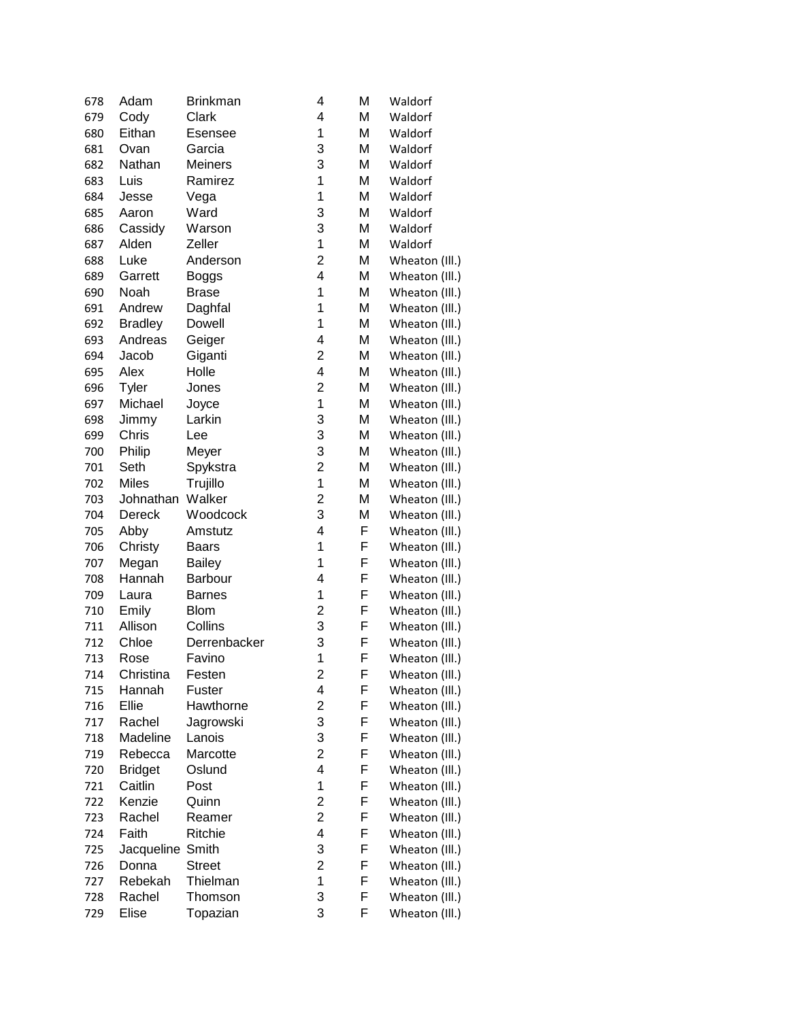| 678 | Adam             | <b>Brinkman</b> | 4                       | Μ | Waldorf        |
|-----|------------------|-----------------|-------------------------|---|----------------|
| 679 | Cody             | Clark           | 4                       | M | Waldorf        |
| 680 | Eithan           | <b>Esensee</b>  | 1                       | Μ | Waldorf        |
| 681 | Ovan             | Garcia          | 3                       | M | Waldorf        |
| 682 | Nathan           | <b>Meiners</b>  | 3                       | M | Waldorf        |
| 683 | Luis             | Ramirez         | 1                       | Μ | Waldorf        |
| 684 | Jesse            | Vega            | 1                       | Μ | Waldorf        |
| 685 | Aaron            | Ward            | 3                       | M | Waldorf        |
| 686 | Cassidy          | Warson          | 3                       | M | Waldorf        |
| 687 | Alden            | Zeller          | 1                       | M | Waldorf        |
| 688 | Luke             | Anderson        | $\overline{c}$          | M | Wheaton (III.) |
| 689 | Garrett          | Boggs           | 4                       | M | Wheaton (III.) |
| 690 | Noah             | <b>Brase</b>    | 1                       | Μ | Wheaton (III.) |
| 691 | Andrew           | Daghfal         | 1                       | Μ | Wheaton (III.) |
| 692 | <b>Bradley</b>   | Dowell          | 1                       | Μ | Wheaton (III.) |
| 693 | Andreas          | Geiger          | 4                       | Μ | Wheaton (III.) |
| 694 | Jacob            | Giganti         | $\overline{2}$          | Μ | Wheaton (III.) |
| 695 | Alex             | Holle           | $\overline{\mathbf{4}}$ | Μ | Wheaton (III.) |
| 696 | Tyler            | Jones           | $\overline{c}$          | M | Wheaton (III.) |
| 697 | Michael          | Joyce           | 1                       | M | Wheaton (III.) |
| 698 | Jimmy            | Larkin          | 3                       | M | Wheaton (III.) |
| 699 | Chris            | Lee             | 3                       | M | Wheaton (III.) |
| 700 | Philip           | Meyer           | 3                       | M | Wheaton (III.) |
| 701 | Seth             | Spykstra        | $\overline{2}$          | M | Wheaton (III.) |
| 702 | <b>Miles</b>     | Trujillo        | 1                       | M | Wheaton (III.) |
| 703 | Johnathan        | Walker          | $\overline{c}$          | M | Wheaton (III.) |
| 704 | Dereck           | Woodcock        | 3                       | M | Wheaton (III.) |
| 705 | Abby             | Amstutz         | 4                       | F | Wheaton (III.) |
| 706 | Christy          | <b>Baars</b>    | 1                       | F | Wheaton (III.) |
| 707 | Megan            | <b>Bailey</b>   | 1                       | F | Wheaton (III.) |
| 708 | Hannah           | Barbour         | 4                       | F | Wheaton (III.) |
| 709 | Laura            | <b>Barnes</b>   | 1                       | F | Wheaton (III.) |
| 710 | Emily            | <b>Blom</b>     | $\overline{c}$          | F | Wheaton (III.) |
| 711 | Allison          | Collins         | 3                       | F | Wheaton (III.) |
| 712 | Chloe            | Derrenbacker    | 3                       | F | Wheaton (III.) |
| 713 | Rose             | Favino          | 1                       | F | Wheaton (III.) |
| 714 | Christina        | Festen          | $\overline{\mathbf{c}}$ | F | Wheaton (III.) |
| 715 | Hannah           | Fuster          | 4                       | F | Wheaton (III.) |
| 716 | Ellie            | Hawthorne       | 2                       | F | Wheaton (III.) |
| 717 | Rachel           | Jagrowski       | 3                       | F | Wheaton (III.) |
| 718 | Madeline         | Lanois          | 3                       | F | Wheaton (III.) |
| 719 | Rebecca          | Marcotte        | $\overline{c}$          | F | Wheaton (III.) |
| 720 | <b>Bridget</b>   | Oslund          | 4                       | F | Wheaton (III.) |
| 721 | Caitlin          | Post            | 1                       | F | Wheaton (III.) |
| 722 | Kenzie           | Quinn           | 2                       | F | Wheaton (III.) |
| 723 | Rachel           | Reamer          | $\overline{c}$          | F | Wheaton (III.) |
| 724 | Faith            | Ritchie         | 4                       | F | Wheaton (III.) |
| 725 | Jacqueline Smith |                 | 3                       | F | Wheaton (III.) |
| 726 | Donna            | <b>Street</b>   | $\overline{2}$          | F | Wheaton (III.) |
| 727 | Rebekah          | Thielman        | 1                       | F | Wheaton (III.) |
| 728 | Rachel           | Thomson         | 3                       | F | Wheaton (III.) |
| 729 | Elise            | Topazian        | 3                       | F | Wheaton (III.) |
|     |                  |                 |                         |   |                |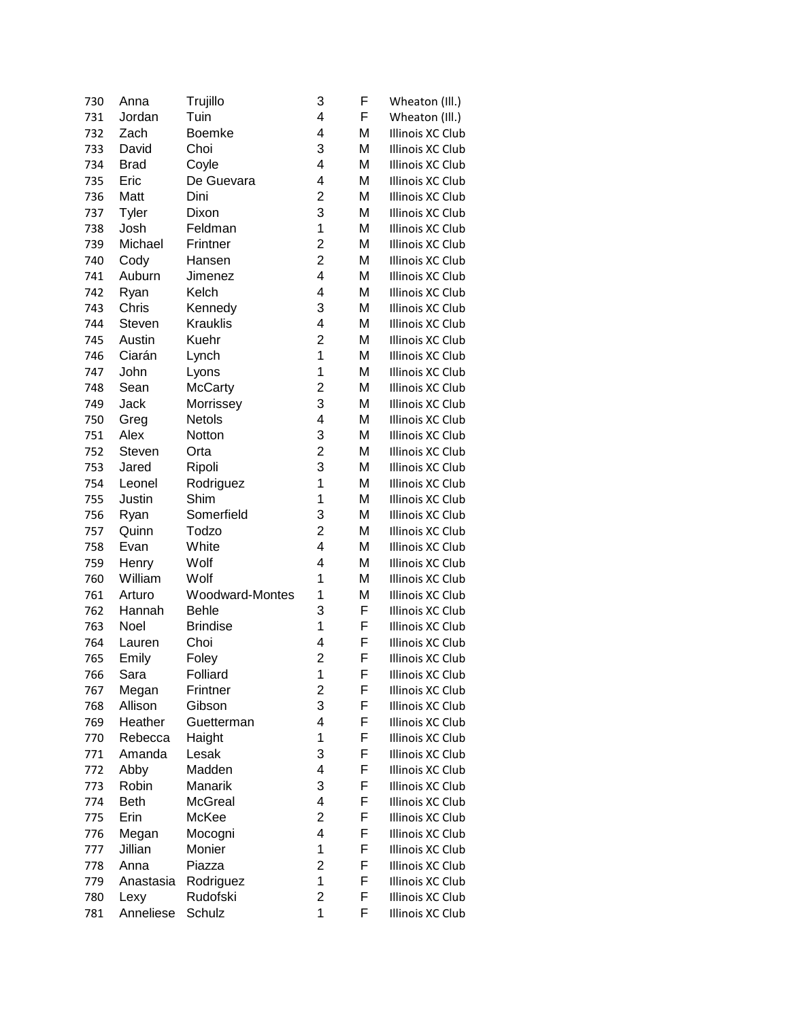| 730 | Anna         | Trujillo        | 3              | F | Wheaton (III.)   |
|-----|--------------|-----------------|----------------|---|------------------|
| 731 | Jordan       | Tuin            | 4              | F | Wheaton (III.)   |
| 732 | Zach         | Boemke          | 4              | Μ | Illinois XC Club |
| 733 | David        | Choi            | 3              | Μ | Illinois XC Club |
| 734 | <b>Brad</b>  | Coyle           | 4              | Μ | Illinois XC Club |
| 735 | Eric         | De Guevara      | 4              | Μ | Illinois XC Club |
| 736 | Matt         | Dini            | 2              | M | Illinois XC Club |
| 737 | <b>Tyler</b> | Dixon           | 3              | M | Illinois XC Club |
| 738 | Josh         | Feldman         | 1              | M | Illinois XC Club |
| 739 | Michael      | Frintner        | $\overline{2}$ | M | Illinois XC Club |
| 740 | Cody         | Hansen          | $\overline{c}$ | M | Illinois XC Club |
| 741 | Auburn       | Jimenez         | 4              | Μ | Illinois XC Club |
| 742 | Ryan         | Kelch           | 4              | Μ | Illinois XC Club |
| 743 | Chris        | Kennedy         | 3              | M | Illinois XC Club |
| 744 | Steven       | <b>Krauklis</b> | 4              | Μ | Illinois XC Club |
| 745 | Austin       | Kuehr           | $\overline{2}$ | Μ | Illinois XC Club |
| 746 | Ciarán       | Lynch           | 1              | Μ | Illinois XC Club |
| 747 | John         | Lyons           | 1              | Μ | Illinois XC Club |
| 748 | Sean         | <b>McCarty</b>  | $\overline{c}$ | M | Illinois XC Club |
| 749 | Jack         | Morrissey       | 3              | Μ | Illinois XC Club |
| 750 | Greg         | Netols          | 4              | Μ | Illinois XC Club |
| 751 | Alex         | Notton          | 3              | Μ | Illinois XC Club |
| 752 | Steven       | Orta            | 2              | M | Illinois XC Club |
| 753 | Jared        | Ripoli          | 3              | Μ | Illinois XC Club |
| 754 | Leonel       | Rodriguez       | 1              | M | Illinois XC Club |
| 755 | Justin       | Shim            | 1              | M | Illinois XC Club |
|     |              | Somerfield      | 3              | M | Illinois XC Club |
| 756 | Ryan         |                 | 2              | M |                  |
| 757 | Quinn        | Todzo<br>White  | 4              |   | Illinois XC Club |
| 758 | Evan         |                 |                | M | Illinois XC Club |
| 759 | Henry        | Wolf            | 4              | Μ | Illinois XC Club |
| 760 | William      | Wolf            | 1              | Μ | Illinois XC Club |
| 761 | Arturo       | Woodward-Montes | 1              | Μ | Illinois XC Club |
| 762 | Hannah       | <b>Behle</b>    | 3              | F | Illinois XC Club |
| 763 | Noel         | <b>Brindise</b> | 1              | F | Illinois XC Club |
| 764 | Lauren       | Choi            | 4              | F | Illinois XC Club |
| 765 | Emily        | Foley           | $\overline{c}$ | F | Illinois XC Club |
| 766 | Sara         | Folliard        | 1              | F | Illinois XC Club |
| 767 | Megan        | Frintner        | 2              | F | Illinois XC Club |
| 768 | Allison      | Gibson          | 3              | F | Illinois XC Club |
| 769 | Heather      | Guetterman      | 4              | F | Illinois XC Club |
| 770 | Rebecca      | Haight          | 1              | F | Illinois XC Club |
| 771 | Amanda       | Lesak           | 3              | F | Illinois XC Club |
| 772 | Abby         | Madden          | 4              | F | Illinois XC Club |
| 773 | Robin        | Manarik         | 3              | F | Illinois XC Club |
| 774 | <b>Beth</b>  | <b>McGreal</b>  | 4              | F | Illinois XC Club |
| 775 | Erin         | McKee           | 2              | F | Illinois XC Club |
| 776 | Megan        | Mocogni         | 4              | F | Illinois XC Club |
| 777 | Jillian      | Monier          | 1              | F | Illinois XC Club |
| 778 | Anna         | Piazza          | 2              | F | Illinois XC Club |
| 779 | Anastasia    | Rodriguez       | $\mathbf{1}$   | F | Illinois XC Club |
| 780 | Lexy         | Rudofski        | 2              | F | Illinois XC Club |
| 781 | Anneliese    | Schulz          | 1              | F | Illinois XC Club |